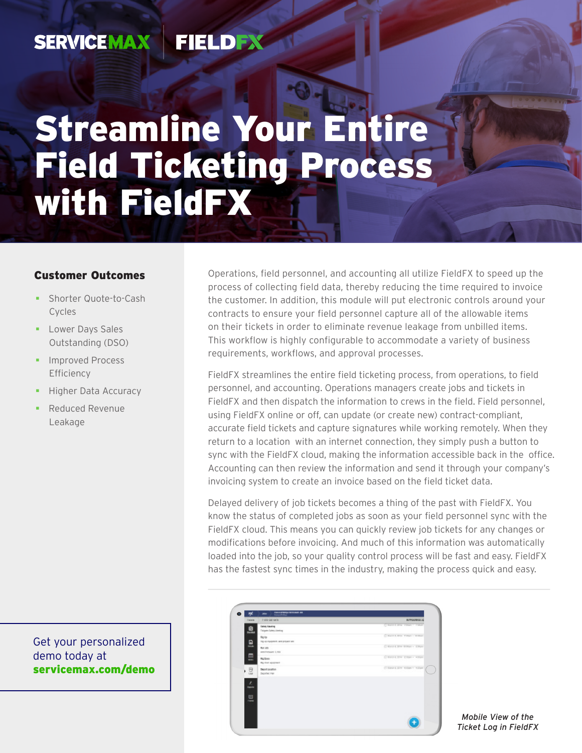#### **SERVICEMAX FIELDEX**

# Streamline Your Entire Field Ticketing Process with FieldFX

#### Customer Outcomes

- **Shorter Quote-to-Cash** Cycles
- **Lower Days Sales** Outstanding (DSO)
- **Improved Process** Efficiency
- Higher Data Accuracy
- Reduced Revenue Leakage

Get your personalized demo today at [servicemax.com/demo](http://servicemax.com/demo)

Operations, field personnel, and accounting all utilize FieldFX to speed up the process of collecting field data, thereby reducing the time required to invoice the customer. In addition, this module will put electronic controls around your contracts to ensure your field personnel capture all of the allowable items on their tickets in order to eliminate revenue leakage from unbilled items. This workflow is highly configurable to accommodate a variety of business requirements, workflows, and approval processes.

FieldFX streamlines the entire field ticketing process, from operations, to field personnel, and accounting. Operations managers create jobs and tickets in FieldFX and then dispatch the information to crews in the field. Field personnel, using FieldFX online or off, can update (or create new) contract-compliant, accurate field tickets and capture signatures while working remotely. When they return to a location with an internet connection, they simply push a button to sync with the FieldFX cloud, making the information accessible back in the office. Accounting can then review the information and send it through your company's invoicing system to create an invoice based on the field ticket data.

Delayed delivery of job tickets becomes a thing of the past with FieldFX. You know the status of completed jobs as soon as your field personnel sync with the FieldFX cloud. This means you can quickly review job tickets for any changes or modifications before invoicing. And much of this information was automatically loaded into the job, so your quality control process will be fast and easy. FieldFX has the fastest sync times in the industry, making the process quick and easy.

| <b>RIVOGREE X</b>              | <b>ENGINEERS</b>                               | <b>Talent</b> |
|--------------------------------|------------------------------------------------|---------------|
| CHARLES WILL THREE * THERE     | <b>Eatony Stauting</b><br>Telephobetes/Jersing | 息             |
| Cinatria true riman i senato   | Rig (p)<br>THE 49 PERSONNEL AND STORY NOT      | 묘             |
| Critical City William - 17000- | <b>But Jets</b><br>With Personal L. Holl       |               |
| Citizen 1994 Eldon + Altho-    | <b>Rig Street</b><br>Rig down agreement        | 量<br>$\sim$   |
| Citizen Libri Ander - Allier   | Dearl Insurer<br>Digital Fax                   | ・ 忌           |
|                                |                                                | 스             |
|                                |                                                | 르             |
|                                |                                                |               |
|                                |                                                |               |

*Mobile View of the Ticket Log in FieldFX*